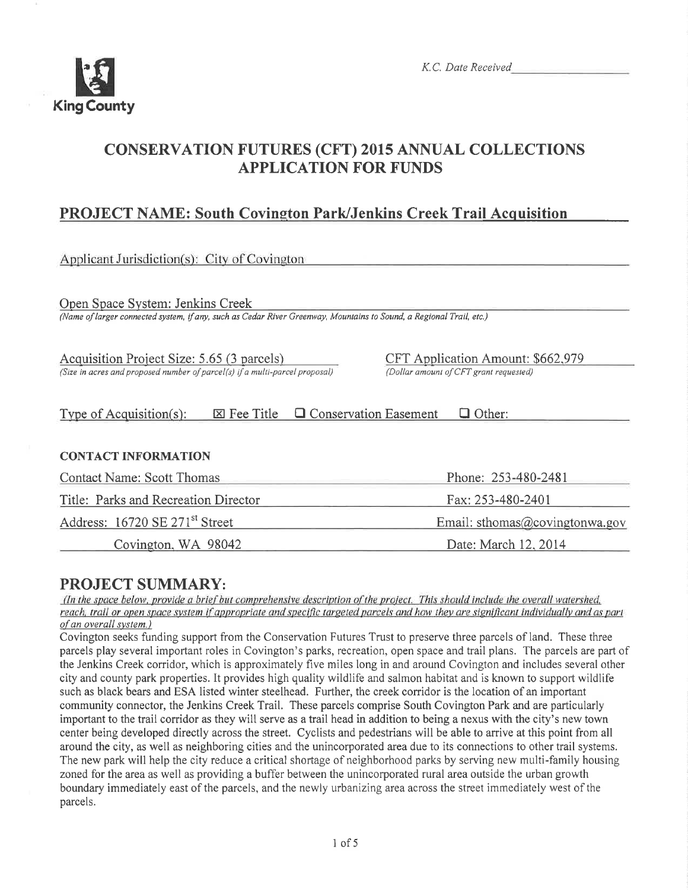

K.C. Date Received

# CONSERVATTON FUTURES (CFT) 2015 ANNUAL COLLECTTONS APPLICATION FOR FUNDS

# PROJECT NAME: South Covington Park/Jenkins Creek Trail Acquisition

| Applicant Jurisdiction(s): City of Covington                                                                                                            |                                                                             |
|---------------------------------------------------------------------------------------------------------------------------------------------------------|-----------------------------------------------------------------------------|
| Open Space System: Jenkins Creek<br>(Name of larger connected system, if any, such as Cedar River Greenway, Mountains to Sound, a Regional Trail, etc.) |                                                                             |
| Acquisition Project Size: 5.65 (3 parcels)<br>(Size in acres and proposed number of parcel(s) if a multi-parcel proposal)                               | CFT Application Amount: \$662,979<br>(Dollar amount of CFT grant requested) |
| $\Box$ Conservation Easement<br>Type of Acquisition(s):<br>$\boxtimes$ Fee Title                                                                        | $\Box$ Other:                                                               |
| <b>CONTACT INFORMATION</b>                                                                                                                              |                                                                             |
| <b>Contact Name: Scott Thomas</b>                                                                                                                       | Phone: 253-480-2481                                                         |
| Title: Parks and Recreation Director                                                                                                                    | Fax: 253-480-2401                                                           |
| Address: 16720 SE 271 <sup>st</sup> Street                                                                                                              | Email: sthomas@covingtonwa.gov                                              |
| Covington, WA 98042                                                                                                                                     | Date: March 12, 2014                                                        |

**PROJECT SUMMARY:**<br>(In the space below, provide a brief but comprehensive description of the project. This should include the overall watershed, reach, trail or open space system if appropriate and specific targeted parcels and how they are significant individually and as part of an overall system.)

Covington seeks funding support from the Conservation Futures Trust to preserve three parcels of land. These three parcels play several important roles in Covington's parks, recreation, open space and trail plans. The parcels are part of the Jenkins Creek corridor, which is approximately five miles long in and around Covington and includes several other city and county park properties. It provides high quality wildlife and salmon habitat and is known to support wildlife such as black bears and ESA listed winter steelhead. Further, the creek corridor is the location of an important community connector, the Jenkins Creek Trail. These parcels comprise South Covington Park and are particularly important to the trail corridor as they will serve as a trail head in addition to being a nexus with the city's new town center being developed directly across the street. Cyclists and pedestrians will be able to arrive at this point from all around the city, as well as neighboring cities and the unincorporated area due to its connections to other trail systems. The new park will help the city reduce a critical shortage of neighborhood parks by serving new multi-family housing zoned for the area as well as providing a buffer between the unincorporated rural area outside the urban growth boundary immediately east of the parcels, and the newly urbanizing area across the street immediately west of the parcels.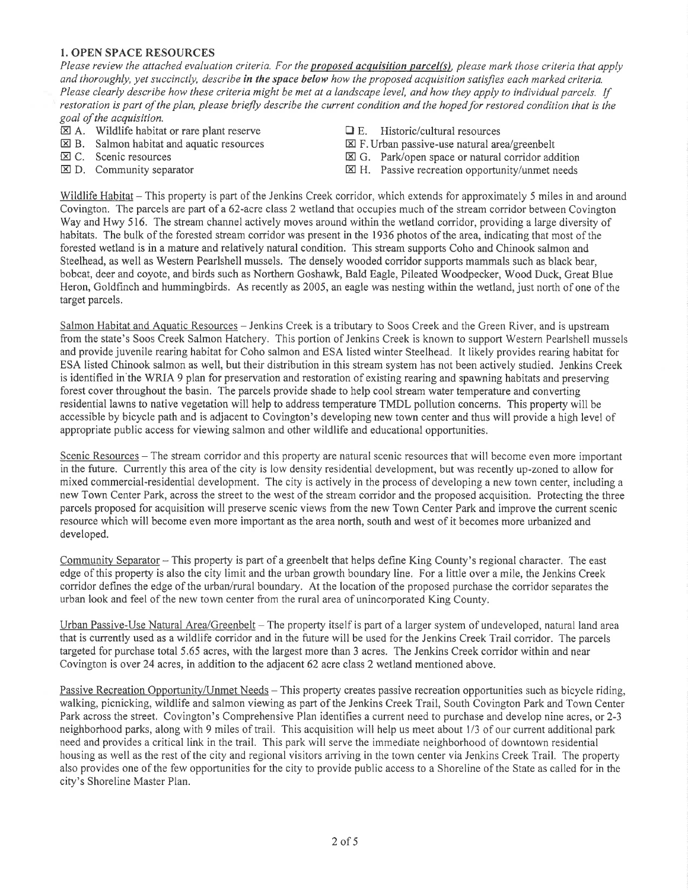#### 1. OPEN SPACE RESOURCES

Please review the attached evaluation criteria. For the proposed acquisition parcel(s), please mark those criteria that apply and thoroughly, yet succinctly, describe in the space below how the proposed acquisition satisfies each marked criteria. Please clearly describe how these criteria might be met at a landscape level, and how they apply to individual parcels. If restoration is part of the plan, please briefly describe the current condition and the hoped for restored condition that is the goal of the acquisition.

- $\boxtimes$  A. Wildlife habitat or rare plant reserve  $\Box$  E. Historic/cultural resources  $\boxtimes$  B. Salmon habitat and aquatic resources  $\boxtimes$  F. Urban passive-use natural area/greenbelt
- $\boxtimes$  B. Salmon habitat and aquatic resources  $\boxtimes$  C. Scenic resources
- 
- 
- 
- 
- E C. Scenic resources E E G. Park/open space or natural corridor addition<br>
E D. Community separator E H. Passive recreation opportunity/unmet needs
	- $\boxtimes$  H. Passive recreation opportunity/unmet needs

Wildlife Habitat  $-$  This property is part of the Jenkins Creek corridor, which extends for approximately 5 miles in and around Covington. The parcels are part of a 62-acre class 2 wetland that occupies much of the stream corridor between Covington Way and Hwy 516. The stream channel actively moves around within the wetland corridor, providing a large diversity of habitats. The bulk of the forested stream corridor was present in the 1936 photos of the area, indicating that most of the forested wetland is in a mature and relatively natural condition. This stream supports Coho and Chinook salmon and Steelhead, as well as Western Pearlshell mussels. The densely wooded corridor supports mammals such as black bear, bobcat, deer and coyote, and birds such as Northern Goshawk, Bald Eagle, Pileated Woodpecker, Wood Duck, Great Blue Heron, Goldfinch and hummingbirds. As recently as 2005, an eagle was nesting within the wetland, just north of one of the target parcels.

Salmon Habitat and Aquatic Resources - Jenkins Creek is a tributary to Soos Creek and the Green River, and is upstream from the state's Soos Creek Salmon Hatchery. This portion of Jenkins Creek is known to support Western Pearlshell mussels and provide juvenile rearing habitat for Coho salmon and ESA listed winter Steelhead. It likely provides rearing habitat for ESA listed Chinook salmon as well, but their distribution in this stream system has not been actively studied. Jenkins Creek is identified in the WRIA 9 plan for preservation and restoration of existing rearing and spawning habitats and preserving forest cover throughout the basin. The parcels provide shade to help cool stream water temperature and converting residential lawns to native vegetation will help to address temperature TMDL pollution concerns. This property will be accessible by bicycle path and is adjacent to Covington's developing new town center and thus will provide a high level of appropriate public access for viewing salmon and other wildlife and educational opportunities.

Scenic Resources – The stream corridor and this property are natural scenic resources that will become even more important in the future. Currently this area of the city is low density residential development, but was recently up-zoned to allow for mixed commercial-residential development. The city is actively in the process of developing a new town center, including a new Town Center Park, across the street to the west of the stream corridor and the proposed acquisition. Protecting the three parcels proposed for acquisition will preserve scenic views from the new Town Center Park and improve the current scenic resource which will become even more important as the area north, south and west of it becomes more urbanized and developed.

Community Separator - This property is part of a greenbelt that helps define King County's regional character. The east edge of this properly is also the city limit and the urban growth boundary line. For a little over a mile, the Jenkins Creek corridor defines the edge of the urban/rural boundary. At the location of the proposed purchase the corridor separates the urban look and feel of the new town center from the rural area of unincorporated King County.

Urban Passive-Use Natural Area/Greenbelt - The property itself is part of a larger system of undeveloped, natural land area that is currently used as a wildlife corridor and in the future will be used for the Jenkins Creek Trail corridor. The parcels targeted for purchase total 5.65 acres, with the largest more than 3 acres. The Jenkins Creek corridor within and near Covington is over 24 acres, in addition to the adjacent 62 acre class 2 wetland mentioned above.

Passive Recreation Opportunity/Unmet Needs - This property creates passive recreation opportunities such as bicycle riding, walking, picnicking, wildlife and salmon viewing as part of the Jenkins Creek Trail, South Covington Park and Town Center Park across the street. Covington's Comprehensive Plan identifies a current need to purchase and develop nine acres, or 2-3 neighborhood parks, along with 9 miles of trail. This acquisition will help us meet about l/3 of our current additional park need and provides a critical link in the trail. This park will serve the immediate neighborhood of downtown residential housing as well as the rest of the city and regional visitors arriving in the town center via Jenkins Creek Trail. The properry also provides one ofthe few opportunities for the city to provide public access to a Shoreline ofthe State as called for in the ciry's Shoreline Master Plan.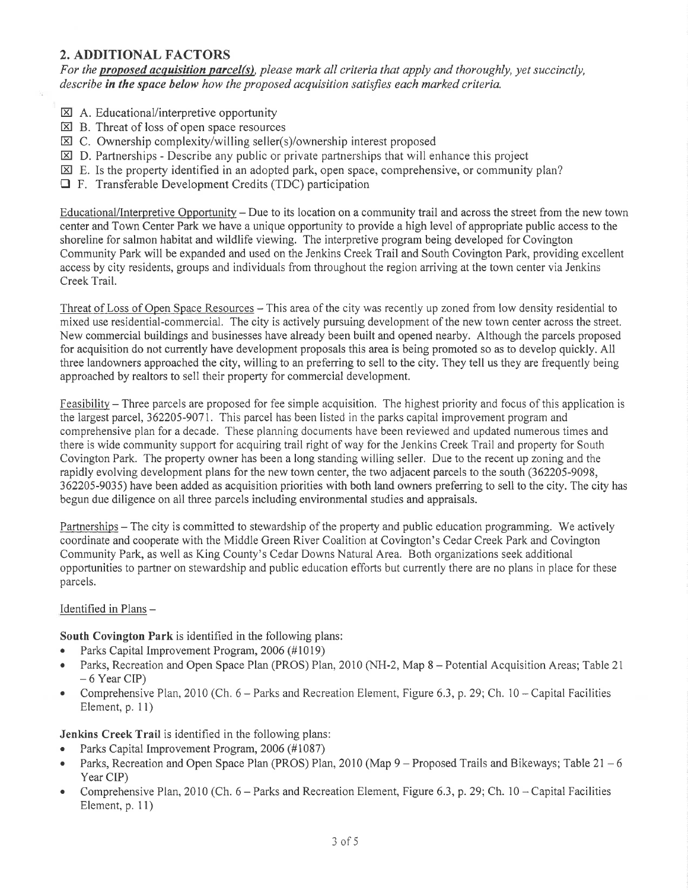# 2. ADDITIONAL FACTORS

For the proposed acquisition parcel(s), please mark all criteria that apply and thoroughly, yet succinctly, describe in the space below how the proposed acquisition satisfies each marked criteria,

- $\boxtimes$  A. Educational/interpretive opportunity
- $\boxtimes$  B. Threat of loss of open space resources
- $\boxtimes$  C. Ownership complexity/willing seller(s)/ownership interest proposed
- $\boxtimes$  D. Partnerships Describe any public or private partnerships that will enhance this project
- $\boxtimes$  E. Is the property identified in an adopted park, open space, comprehensive, or community plan?
- E F. Transferable Development Credits (TDC) participation

Educational/Interpretive Opportunity – Due to its location on a community trail and across the street from the new town center and Town Center Park we have a unique opportunity to provide a high level of appropriate public access to the shoreline for salmon habitat and wildlife viewing. The interpretive program being developed for Covington Community Park will be expanded and used on the Jenkins Creek Trail and South Covington Park, providing excellent access by city residents, groups and individuals from throughout the region arriving at the town center via Jenkins Creek Trail.

Threat of Loss of Open Space Resources – This area of the city was recently up zoned from low density residential to mixed use residential-commercial. The city is actively pursuing development of the new town center across the street. New commercial buildings and businesses have already been built and opened nearby. Although the parcels proposed for acquisition do not currently have development proposals this area is being promoted so as to develop quickly. All three landowners approached the city, willing to an preferring to sell to the city. They tell us they are frequently being approached by realtors to sell their property for commercial development.

Feasibility – Three parcels are proposed for fee simple acquisition. The highest priority and focus of this application is the largest parcel, 362205-9071. This parcel has been listed in the parks capital improvement program and comprehensive plan for a decade. These planning documents have been reviewed and updated numerous times and there is wide community support for acquiring trail right of way for the Jenkins Creek Trail and property for South Covington Park. The property owner has been a long standing willing seller. Due to the recent up zoning and the rapidly evolving development plans for the new town center, the two adjacent parcels to the south (362205-9098, 362205-9035) have been added as acquisition priorities with both land owners prefening to sell to the city. The city has begun due diligence on all three parcels including environmental studies and appraisals.

Partnerships – The city is committed to stewardship of the property and public education programming. We actively coordinate and cooperate with the Middle Green River Coalition at Covington's Cedar Creek Park and Covington Community Park, as well as King County's Cedar Downs Natural Area. Both organizations seek additional opportunities to partner on stewardship and public education efforts but currently there are no plans in place for these parcels.

#### Identified in Plans-

South Covington Park is identified in the following plans:

- Parks Capital Improvement Program, 2006 (#1019)
- Parks, Recreation and Open Space Plan (PROS) Plan, 2010 (NH-2, Map 8 Potential Acquisition Areas; Table 21  $-6$  Year CIP)
- Comprehensive Plan, 2010 (Ch.  $6$  Parks and Recreation Element, Figure 6.3, p. 29; Ch. 10 Capital Facilities Element, p. 11)

Jenkins Creek Trail is identified in the following plans:

- . Parks Capital Improvement Program, 2006 (#1087)
- Parks, Recreation and Open Space Plan (PROS) Plan, 2010 (Map  $9 -$  Proposed Trails and Bikeways; Table 21 6 Year CIP)
- Comprehensive Plan, 2010 (Ch.  $6$  Parks and Recreation Element, Figure 6.3, p. 29; Ch. 10 Capital Facilities Element, p. 1l)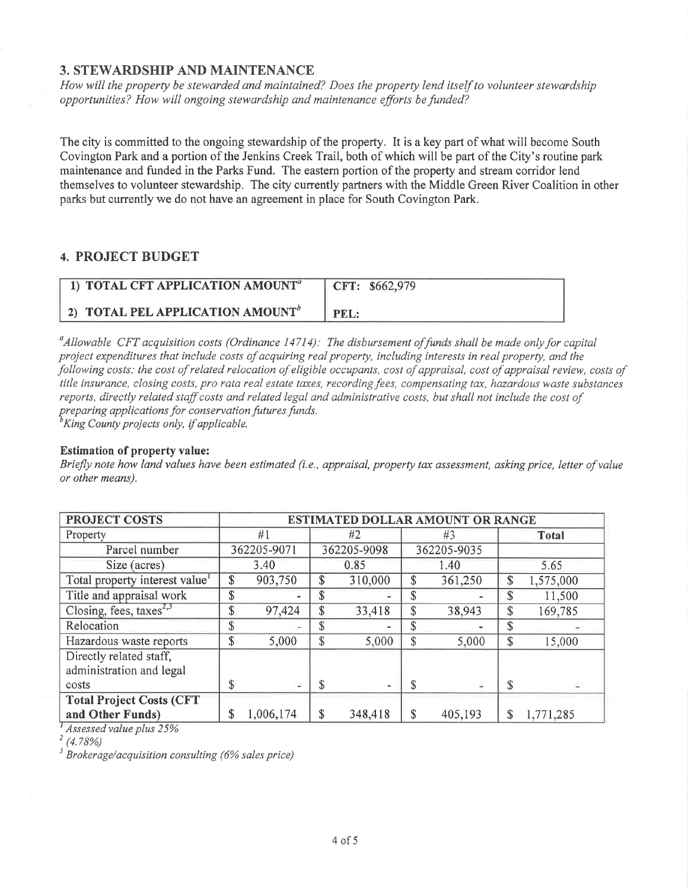## 3. STEWARDSHIP AND MAINTENANCE

How will the property be stewarded and maintained? Does the property lend itself to volunteer stewardship opportunities? How will ongoing stewardship and maintenance efforts be funded?

The city is committed to the ongoing stewardship of the properry. It is a key part of what will become South Covington Park and a portion of the Jenkins Creek Trail, both of which will be part of the City's routine park maintenance and funded in the Parks Fund. The eastern portion of the property and stream corridor lend themselves to volunteer stewardship. The city currently partners with the Middle Green River Coalition in other parks but currently we do not have an agreement in place for South Covington Park.

## 4. PROJECT BUDGET

| 1) TOTAL CFT APPLICATION AMOUNT <sup>a</sup> | CFT: \$662,979 |
|----------------------------------------------|----------------|
| 2) TOTAL PEL APPLICATION AMOUNT <sup>b</sup> | PEL:           |

 $\alpha<sup>a</sup>$ Allowable CFT acquisition costs (Ordinance 14714): The disbursement of funds shall be made only for capital project expenditures that include costs of acquiring real property, including interests in real property, and the following costs: the cost of related relocation of eligible occupants, cost of appraisal, cost of appraisal review, costs of title insurance, closing costs, pro rata real estate taxes, recording fees, compensating tax, hazardous waste substances reports, directly related staff costs and related legal and administrative costs, but shall not include the cost of preparing applications for conservation futures funds.<br> ${}^b$ King County projects only, if applicable.

#### Estimation of property value:

Briefly note how land values have been estimated (i.e., appraisal, property tax assessment, asking price, letter of value or other means).

| PROJECT COSTS                                       | ESTIMATED DOLLAR AMOUNT OR RANGE |             |    |             |    |             |                 |
|-----------------------------------------------------|----------------------------------|-------------|----|-------------|----|-------------|-----------------|
| Property                                            |                                  | #1          |    | #2          |    | #3          | Total           |
| Parcel number                                       |                                  | 362205-9071 |    | 362205-9098 |    | 362205-9035 |                 |
| Size (acres)                                        |                                  | 3.40        |    | 0.85        |    | 1.40        | 5.65            |
| Total property interest value                       | \$                               | 903,750     | \$ | 310,000     | \$ | 361,250     | \$<br>1,575,000 |
| Title and appraisal work                            | \$                               | ۰           | \$ |             | \$ |             | \$<br>11,500    |
| Closing, fees, taxes <sup>2,3</sup>                 | \$                               | 97,424      | \$ | 33,418      | \$ | 38,943      | \$<br>169,785   |
| Relocation                                          | \$                               | ۰           | \$ |             | \$ |             | \$              |
| Hazardous waste reports                             | \$                               | 5,000       | \$ | 5,000       | \$ | 5,000       | \$<br>15,000    |
| Directly related staff,<br>administration and legal |                                  |             |    |             |    |             |                 |
| costs                                               | \$                               | i.          | \$ |             | \$ | ä           | \$              |
| <b>Total Project Costs (CFT</b>                     |                                  |             |    |             |    |             |                 |
| and Other Funds)                                    | \$                               | 1,006,174   | \$ | 348,418     | \$ | 405,193     | \$<br>1,771,285 |

Assessedvalue plus 25%

 $\frac{1}{2}$  (4.78%)

 $3$  Brokerage/acquisition consulting (6% sales price)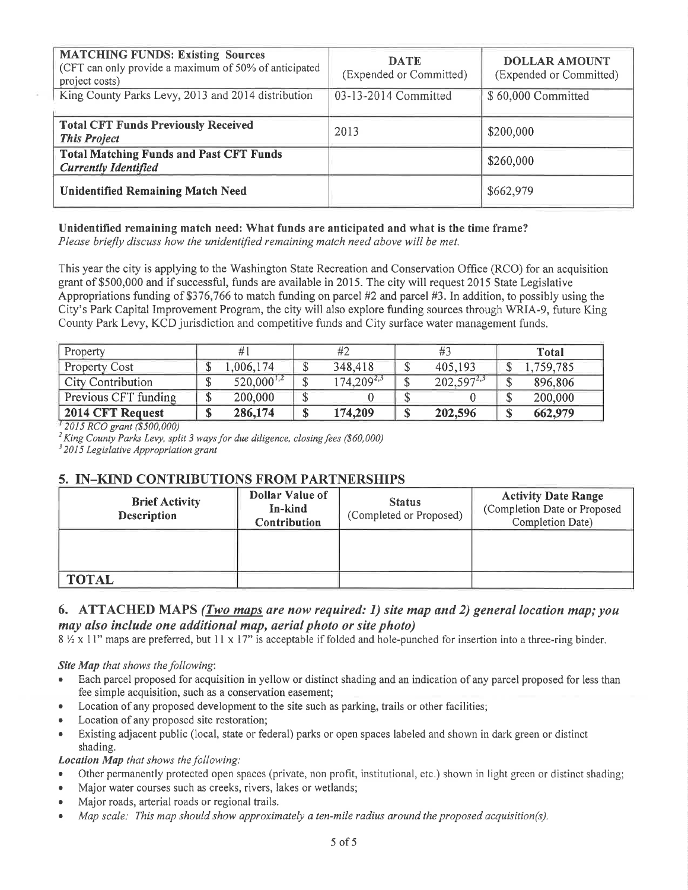| <b>MATCHING FUNDS: Existing Sources</b><br>(CFT can only provide a maximum of 50% of anticipated<br>project costs) | <b>DATE</b><br>(Expended or Committed) | <b>DOLLAR AMOUNT</b><br>(Expended or Committed) |
|--------------------------------------------------------------------------------------------------------------------|----------------------------------------|-------------------------------------------------|
| King County Parks Levy, 2013 and 2014 distribution                                                                 | 03-13-2014 Committed                   | \$60,000 Committed                              |
| <b>Total CFT Funds Previously Received</b><br><b>This Project</b>                                                  | 2013                                   | \$200,000                                       |
| <b>Total Matching Funds and Past CFT Funds</b><br><b>Currently Identified</b>                                      |                                        | \$260,000                                       |
| <b>Unidentified Remaining Match Need</b>                                                                           |                                        | \$662,979                                       |

# Unidentified remaining match need: What funds are anticipated and what is the time frame?

Please briefly discuss how the unidentified remaining match need above will be met.

This year the city is applying to the Washington State Recreation and Conservation Office (RCO) for an acquisition grant of \$500,000 and if successful, funds are available in 2015. The city will request 2015 State Legislative Appropriations funding of \$376,766 to match funding on parcel #2 and parcel #3. In addition, to possibly using the City's Park Capital Improvement Program, the city will also explore funding sources through WRIA-9, future King County Park Levy, KCD jurisdiction and competitive funds and City surface water management funds.

| Property             |         |                 | #2              |                 | Total     |
|----------------------|---------|-----------------|-----------------|-----------------|-----------|
| <b>Property Cost</b> | ۰υ      | ,006,174        | 348,418         | 405,193         | 1,759,785 |
| City Contribution    | Φ<br>۰D | $520,000^{1,2}$ | $174,209^{2,3}$ | $202,597^{2,3}$ | 896,806   |
| Previous CFT funding | Φ<br>Φ  | 200,000         |                 |                 | 200,000   |
| 2014 CFT Request     | ¢<br>Φ  | 286,174         | 174,209         | 202,596         | 662,979   |

<sup>1</sup> 2015 RCO grant (\$500,000)

<sup>2</sup> King County Parks Levy, split 3 ways for due diligence, closing fees (\$60,000)  $3$  2015 Legislative Appropriation grant

# 5. IN-KIND CONTRIBUTIONS FROM PARTNERSHIPS

| <b>Brief Activity</b><br><b>Description</b> | Dollar Value of<br>In-kind<br>Contribution | <b>Status</b><br>(Completed or Proposed) | <b>Activity Date Range</b><br>(Completion Date or Proposed<br>Completion Date) |
|---------------------------------------------|--------------------------------------------|------------------------------------------|--------------------------------------------------------------------------------|
|                                             |                                            |                                          |                                                                                |
| <b>TOTAL</b>                                |                                            |                                          |                                                                                |

# 6. ATTACHED MAPS (Two maps are now required: 1) site map and 2) general location map; you may also include one additional map, aerial photo or site photo)

 $8\frac{1}{2} \times 11$ " maps are preferred, but 11 x 17" is acceptable if folded and hole-punched for insertion into a three-ring binder.

#### Site Map that shows the following:

- Each parcel proposed for acquisition in yellow or distinct shading and an indication of any parcel proposed for less than fee simple acquisition, such as a conservation easement;
- Location of any proposed development to the site such as parking, trails or other facilities;
- Location of any proposed site restoration;  $\bullet$
- Existing adjacent public (local, state or federal) parks or open spaces labeled and shown in dark green or distinct shading.

#### **Location Map** that shows the following:

- Other permanently protected open spaces (private, non profit, institutional, etc.) shown in light green or distinct shading;
- Major water courses such as creeks, rivers, lakes or wetlands;
- Major roads, arterial roads or regional trails.  $\bullet$
- Map scale: This map should show approximately a ten-mile radius around the proposed acquisition(s).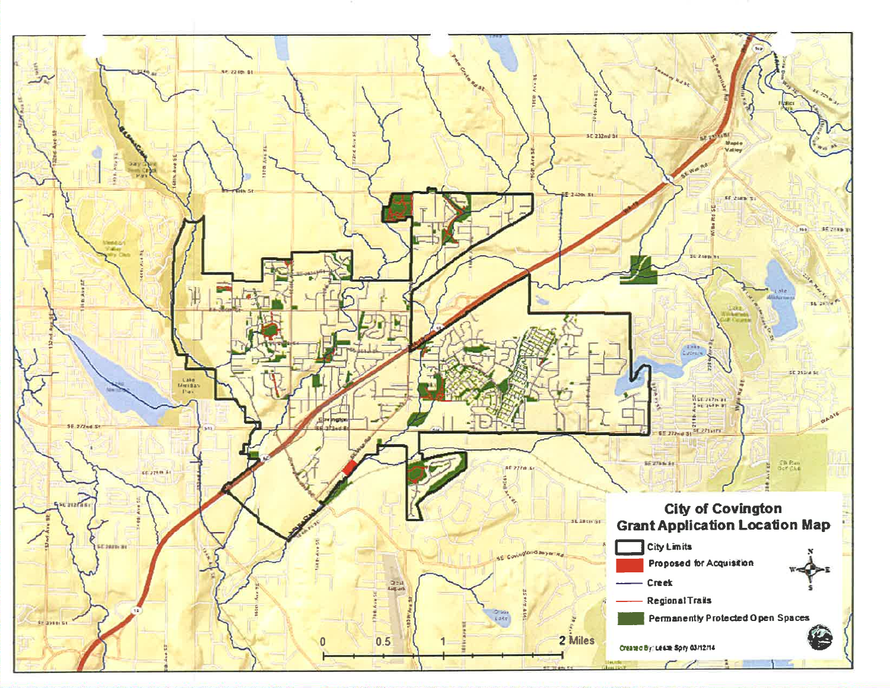